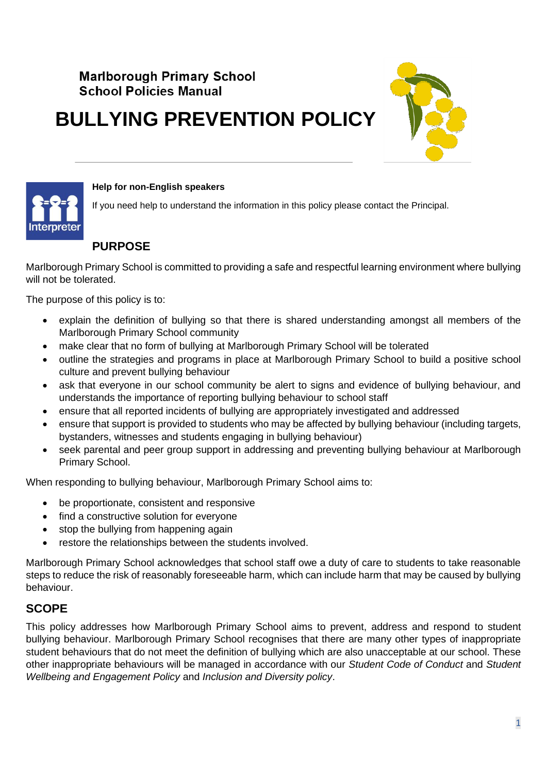## **Marlborough Primary School School Policies Manual**

# **BULLYING PREVENTION POLICY**





#### **Help for non-English speakers**

If you need help to understand the information in this policy please contact the Principal.

## **PURPOSE**

Marlborough Primary School is committed to providing a safe and respectful learning environment where bullying will not be tolerated.

The purpose of this policy is to:

- explain the definition of bullying so that there is shared understanding amongst all members of the Marlborough Primary School community
- make clear that no form of bullying at Marlborough Primary School will be tolerated
- outline the strategies and programs in place at Marlborough Primary School to build a positive school culture and prevent bullying behaviour
- ask that everyone in our school community be alert to signs and evidence of bullying behaviour, and understands the importance of reporting bullying behaviour to school staff
- ensure that all reported incidents of bullying are appropriately investigated and addressed
- ensure that support is provided to students who may be affected by bullying behaviour (including targets, bystanders, witnesses and students engaging in bullying behaviour)
- seek parental and peer group support in addressing and preventing bullying behaviour at Marlborough Primary School.

When responding to bullying behaviour, Marlborough Primary School aims to:

- be proportionate, consistent and responsive
- find a constructive solution for everyone
- stop the bullying from happening again
- restore the relationships between the students involved.

Marlborough Primary School acknowledges that school staff owe a duty of care to students to take reasonable steps to reduce the risk of reasonably foreseeable harm, which can include harm that may be caused by bullying behaviour.

## **SCOPE**

This policy addresses how Marlborough Primary School aims to prevent, address and respond to student bullying behaviour. Marlborough Primary School recognises that there are many other types of inappropriate student behaviours that do not meet the definition of bullying which are also unacceptable at our school. These other inappropriate behaviours will be managed in accordance with our *Student Code of Conduct* and *Student Wellbeing and Engagement Policy* and *Inclusion and Diversity policy*.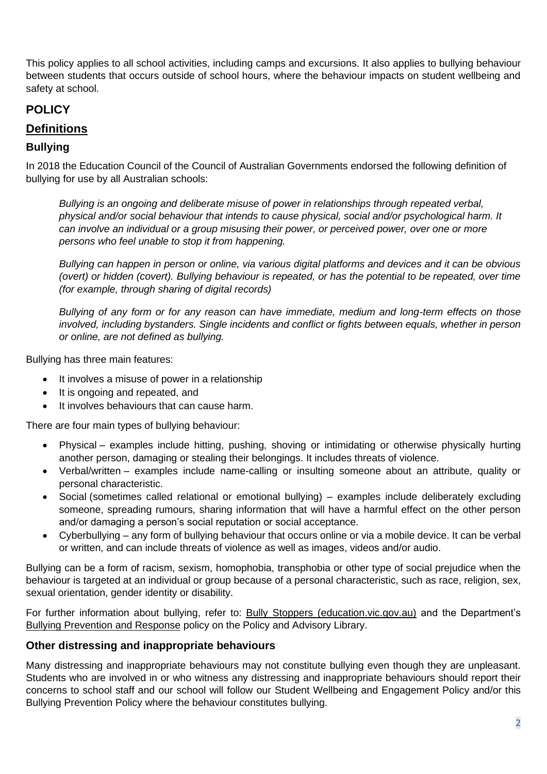This policy applies to all school activities, including camps and excursions. It also applies to bullying behaviour between students that occurs outside of school hours, where the behaviour impacts on student wellbeing and safety at school.

## **POLICY**

#### **Definitions**

#### **Bullying**

In 2018 the Education Council of the Council of Australian Governments endorsed the following definition of bullying for use by all Australian schools:

*Bullying is an ongoing and deliberate misuse of power in relationships through repeated verbal, physical and/or social behaviour that intends to cause physical, social and/or psychological harm. It can involve an individual or a group misusing their power, or perceived power, over one or more persons who feel unable to stop it from happening.*

*Bullying can happen in person or online, via various digital platforms and devices and it can be obvious (overt) or hidden (covert). Bullying behaviour is repeated, or has the potential to be repeated, over time (for example, through sharing of digital records)*

*Bullying of any form or for any reason can have immediate, medium and long-term effects on those involved, including bystanders. Single incidents and conflict or fights between equals, whether in person or online, are not defined as bullying.* 

Bullying has three main features:

- It involves a misuse of power in a relationship
- It is ongoing and repeated, and
- It involves behaviours that can cause harm.

There are four main types of bullying behaviour:

- Physical examples include hitting, pushing, shoving or intimidating or otherwise physically hurting another person, damaging or stealing their belongings. It includes threats of violence.
- Verbal/written examples include name-calling or insulting someone about an attribute, quality or personal characteristic.
- Social (sometimes called relational or emotional bullying) examples include deliberately excluding someone, spreading rumours, sharing information that will have a harmful effect on the other person and/or damaging a person's social reputation or social acceptance.
- Cyberbullying any form of bullying behaviour that occurs online or via a mobile device. It can be verbal or written, and can include threats of violence as well as images, videos and/or audio.

Bullying can be a form of racism, sexism, homophobia, transphobia or other type of social prejudice when the behaviour is targeted at an individual or group because of a personal characteristic, such as race, religion, sex, sexual orientation, gender identity or disability.

For further information about bullying, refer to: [Bully Stoppers \(education.vic.gov.au\)](https://www.education.vic.gov.au/about/programs/bullystoppers/Pages/default.aspx) and the Department's [Bullying Prevention and Response](https://www2.education.vic.gov.au/pal/bullying-prevention-response/policy) policy on the Policy and Advisory Library.

#### **Other distressing and inappropriate behaviours**

Many distressing and inappropriate behaviours may not constitute bullying even though they are unpleasant. Students who are involved in or who witness any distressing and inappropriate behaviours should report their concerns to school staff and our school will follow our Student Wellbeing and Engagement Policy and/or this Bullying Prevention Policy where the behaviour constitutes bullying.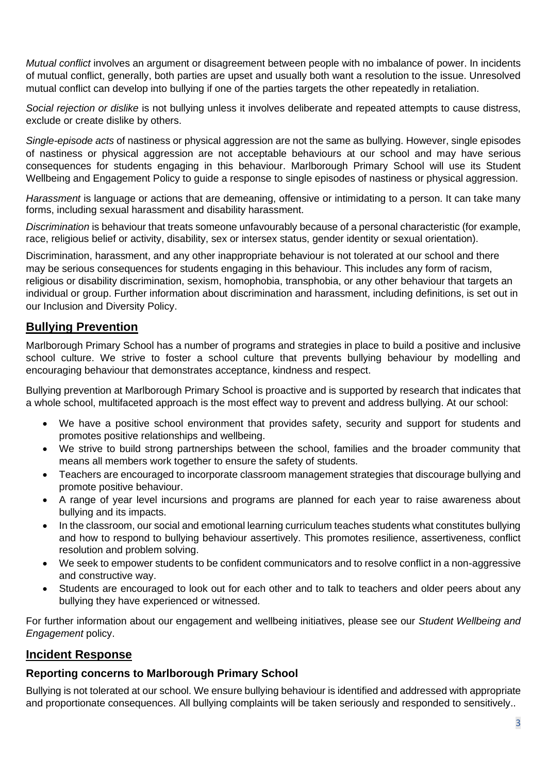*Mutual conflict* involves an argument or disagreement between people with no imbalance of power. In incidents of mutual conflict, generally, both parties are upset and usually both want a resolution to the issue. Unresolved mutual conflict can develop into bullying if one of the parties targets the other repeatedly in retaliation.

*Social rejection or dislike* is not bullying unless it involves deliberate and repeated attempts to cause distress, exclude or create dislike by others.

*Single-episode acts* of nastiness or physical aggression are not the same as bullying. However, single episodes of nastiness or physical aggression are not acceptable behaviours at our school and may have serious consequences for students engaging in this behaviour. Marlborough Primary School will use its Student Wellbeing and Engagement Policy to guide a response to single episodes of nastiness or physical aggression.

*Harassment* is language or actions that are demeaning, offensive or intimidating to a person. It can take many forms, including sexual harassment and disability harassment.

*Discrimination* is behaviour that treats someone unfavourably because of a personal characteristic (for example, race, religious belief or activity, disability, sex or intersex status, gender identity or sexual orientation).

Discrimination, harassment, and any other inappropriate behaviour is not tolerated at our school and there may be serious consequences for students engaging in this behaviour. This includes any form of racism, religious or disability discrimination, sexism, homophobia, transphobia, or any other behaviour that targets an individual or group. Further information about discrimination and harassment, including definitions, is set out in our Inclusion and Diversity Policy.

## **Bullying Prevention**

Marlborough Primary School has a number of programs and strategies in place to build a positive and inclusive school culture. We strive to foster a school culture that prevents bullying behaviour by modelling and encouraging behaviour that demonstrates acceptance, kindness and respect.

Bullying prevention at Marlborough Primary School is proactive and is supported by research that indicates that a whole school, multifaceted approach is the most effect way to prevent and address bullying. At our school:

- We have a positive school environment that provides safety, security and support for students and promotes positive relationships and wellbeing.
- We strive to build strong partnerships between the school, families and the broader community that means all members work together to ensure the safety of students.
- Teachers are encouraged to incorporate classroom management strategies that discourage bullying and promote positive behaviour.
- A range of year level incursions and programs are planned for each year to raise awareness about bullying and its impacts.
- In the classroom, our social and emotional learning curriculum teaches students what constitutes bullying and how to respond to bullying behaviour assertively. This promotes resilience, assertiveness, conflict resolution and problem solving.
- We seek to empower students to be confident communicators and to resolve conflict in a non-aggressive and constructive way.
- Students are encouraged to look out for each other and to talk to teachers and older peers about any bullying they have experienced or witnessed.

For further information about our engagement and wellbeing initiatives, please see our *Student Wellbeing and Engagement* policy.

## **Incident Response**

#### **Reporting concerns to Marlborough Primary School**

Bullying is not tolerated at our school. We ensure bullying behaviour is identified and addressed with appropriate and proportionate consequences. All bullying complaints will be taken seriously and responded to sensitively..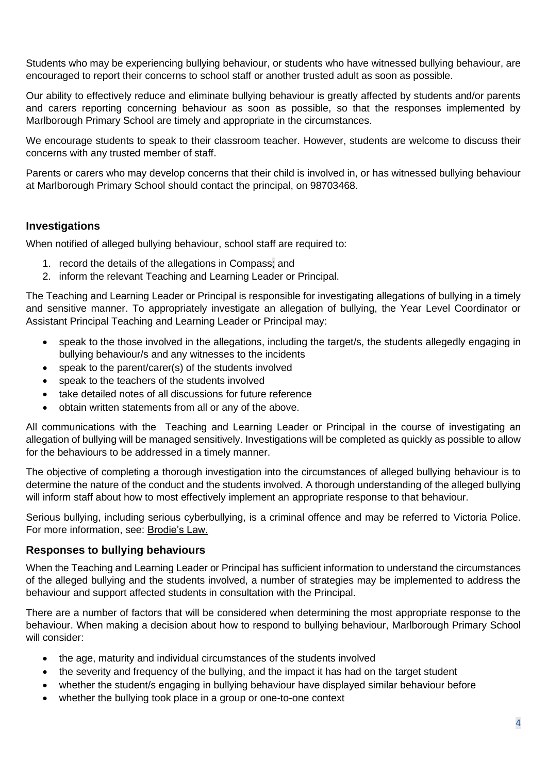Students who may be experiencing bullying behaviour, or students who have witnessed bullying behaviour, are encouraged to report their concerns to school staff or another trusted adult as soon as possible.

Our ability to effectively reduce and eliminate bullying behaviour is greatly affected by students and/or parents and carers reporting concerning behaviour as soon as possible, so that the responses implemented by Marlborough Primary School are timely and appropriate in the circumstances.

We encourage students to speak to their classroom teacher. However, students are welcome to discuss their concerns with any trusted member of staff.

Parents or carers who may develop concerns that their child is involved in, or has witnessed bullying behaviour at Marlborough Primary School should contact the principal, on 98703468.

#### **Investigations**

When notified of alleged bullying behaviour, school staff are required to:

- 1. record the details of the allegations in Compass; and
- 2. inform the relevant Teaching and Learning Leader or Principal.

The Teaching and Learning Leader or Principal is responsible for investigating allegations of bullying in a timely and sensitive manner. To appropriately investigate an allegation of bullying, the Year Level Coordinator or Assistant Principal Teaching and Learning Leader or Principal may:

- speak to the those involved in the allegations, including the target/s, the students allegedly engaging in bullying behaviour/s and any witnesses to the incidents
- speak to the parent/carer(s) of the students involved
- speak to the teachers of the students involved
- take detailed notes of all discussions for future reference
- obtain written statements from all or any of the above.

All communications with the Teaching and Learning Leader or Principal in the course of investigating an allegation of bullying will be managed sensitively. Investigations will be completed as quickly as possible to allow for the behaviours to be addressed in a timely manner.

The objective of completing a thorough investigation into the circumstances of alleged bullying behaviour is to determine the nature of the conduct and the students involved. A thorough understanding of the alleged bullying will inform staff about how to most effectively implement an appropriate response to that behaviour.

Serious bullying, including serious cyberbullying, is a criminal offence and may be referred to Victoria Police. For more information, see: [Brodie's Law.](http://www.education.vic.gov.au/about/programs/bullystoppers/Pages/advicesheetbrodieslaw.aspx)

#### **Responses to bullying behaviours**

When the Teaching and Learning Leader or Principal has sufficient information to understand the circumstances of the alleged bullying and the students involved, a number of strategies may be implemented to address the behaviour and support affected students in consultation with the Principal.

There are a number of factors that will be considered when determining the most appropriate response to the behaviour. When making a decision about how to respond to bullying behaviour, Marlborough Primary School will consider:

- the age, maturity and individual circumstances of the students involved
- the severity and frequency of the bullying, and the impact it has had on the target student
- whether the student/s engaging in bullying behaviour have displayed similar behaviour before
- whether the bullying took place in a group or one-to-one context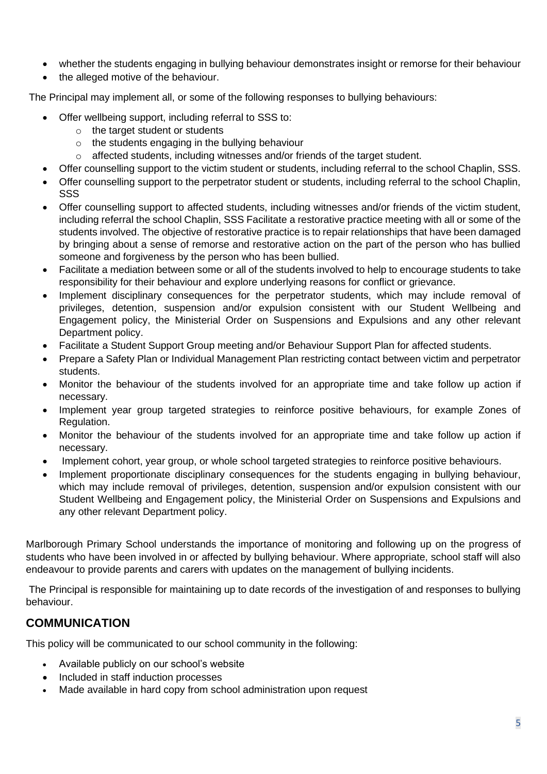- whether the students engaging in bullying behaviour demonstrates insight or remorse for their behaviour
- the alleged motive of the behaviour.

The Principal may implement all, or some of the following responses to bullying behaviours:

- Offer wellbeing support, including referral to SSS to:
	- o the target student or students
	- o the students engaging in the bullying behaviour
	- o affected students, including witnesses and/or friends of the target student.
- Offer counselling support to the victim student or students, including referral to the school Chaplin, SSS.
- Offer counselling support to the perpetrator student or students, including referral to the school Chaplin, SSS
- Offer counselling support to affected students, including witnesses and/or friends of the victim student, including referral the school Chaplin, SSS Facilitate a restorative practice meeting with all or some of the students involved. The objective of restorative practice is to repair relationships that have been damaged by bringing about a sense of remorse and restorative action on the part of the person who has bullied someone and forgiveness by the person who has been bullied.
- Facilitate a mediation between some or all of the students involved to help to encourage students to take responsibility for their behaviour and explore underlying reasons for conflict or grievance.
- Implement disciplinary consequences for the perpetrator students, which may include removal of privileges, detention, suspension and/or expulsion consistent with our Student Wellbeing and Engagement policy, the Ministerial Order on Suspensions and Expulsions and any other relevant Department policy.
- Facilitate a Student Support Group meeting and/or Behaviour Support Plan for affected students.
- Prepare a Safety Plan or Individual Management Plan restricting contact between victim and perpetrator students.
- Monitor the behaviour of the students involved for an appropriate time and take follow up action if necessary.
- Implement year group targeted strategies to reinforce positive behaviours, for example Zones of Regulation.
- Monitor the behaviour of the students involved for an appropriate time and take follow up action if necessary.
- Implement cohort, year group, or whole school targeted strategies to reinforce positive behaviours.
- Implement proportionate disciplinary consequences for the students engaging in bullying behaviour, which may include removal of privileges, detention, suspension and/or expulsion consistent with our Student Wellbeing and Engagement policy, the Ministerial Order on Suspensions and Expulsions and any other relevant Department policy.

Marlborough Primary School understands the importance of monitoring and following up on the progress of students who have been involved in or affected by bullying behaviour. Where appropriate, school staff will also endeavour to provide parents and carers with updates on the management of bullying incidents.

The Principal is responsible for maintaining up to date records of the investigation of and responses to bullying behaviour.

## **COMMUNICATION**

This policy will be communicated to our school community in the following:

- Available publicly on our school's website
- Included in staff induction processes
- Made available in hard copy from school administration upon request